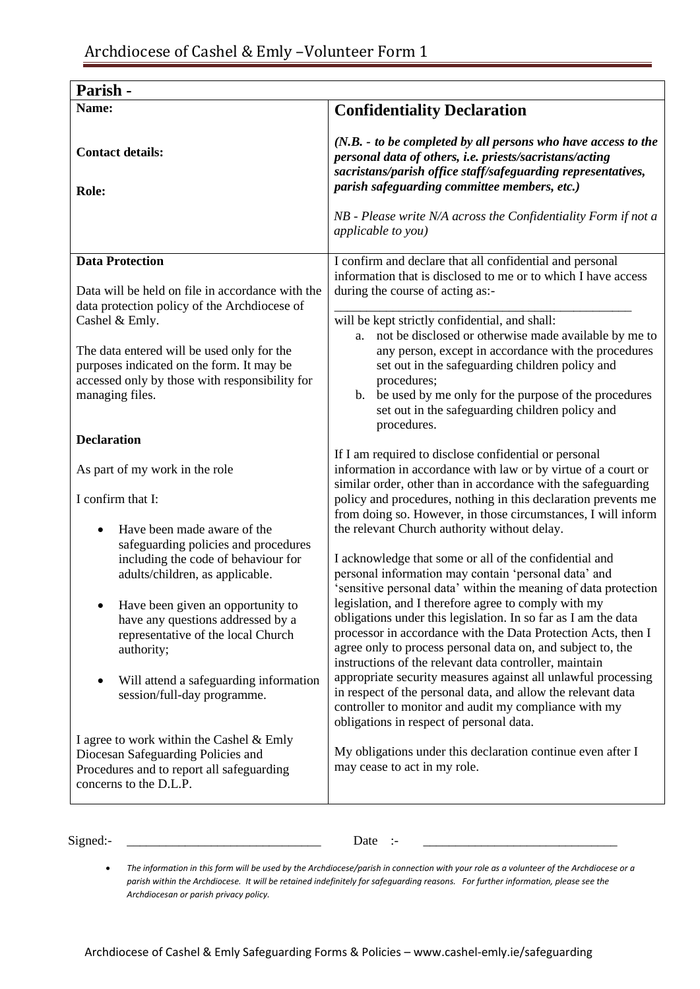| Parish -                                                                                                                                                                                                                                     |                                                                                                                                                                                                                                                                                                                                                                                                                                                                                                       |
|----------------------------------------------------------------------------------------------------------------------------------------------------------------------------------------------------------------------------------------------|-------------------------------------------------------------------------------------------------------------------------------------------------------------------------------------------------------------------------------------------------------------------------------------------------------------------------------------------------------------------------------------------------------------------------------------------------------------------------------------------------------|
| Name:                                                                                                                                                                                                                                        | <b>Confidentiality Declaration</b>                                                                                                                                                                                                                                                                                                                                                                                                                                                                    |
| <b>Contact details:</b><br>Role:                                                                                                                                                                                                             | $(N.B. - to be completed by all persons who have access to the$<br>personal data of others, i.e. priests/sacristans/acting<br>sacristans/parish office staff/safeguarding representatives,<br>parish safeguarding committee members, etc.)<br>NB - Please write N/A across the Confidentiality Form if not a<br><i>applicable to you)</i>                                                                                                                                                             |
| <b>Data Protection</b>                                                                                                                                                                                                                       | I confirm and declare that all confidential and personal<br>information that is disclosed to me or to which I have access                                                                                                                                                                                                                                                                                                                                                                             |
| Data will be held on file in accordance with the                                                                                                                                                                                             | during the course of acting as:-                                                                                                                                                                                                                                                                                                                                                                                                                                                                      |
| data protection policy of the Archdiocese of<br>Cashel & Emly.<br>The data entered will be used only for the<br>purposes indicated on the form. It may be<br>accessed only by those with responsibility for<br>managing files.               | will be kept strictly confidential, and shall:<br>not be disclosed or otherwise made available by me to<br>a.<br>any person, except in accordance with the procedures<br>set out in the safeguarding children policy and<br>procedures;<br>be used by me only for the purpose of the procedures<br>b.<br>set out in the safeguarding children policy and<br>procedures.                                                                                                                               |
| <b>Declaration</b>                                                                                                                                                                                                                           |                                                                                                                                                                                                                                                                                                                                                                                                                                                                                                       |
| As part of my work in the role<br>I confirm that I:<br>Have been made aware of the                                                                                                                                                           | If I am required to disclose confidential or personal<br>information in accordance with law or by virtue of a court or<br>similar order, other than in accordance with the safeguarding<br>policy and procedures, nothing in this declaration prevents me<br>from doing so. However, in those circumstances, I will inform<br>the relevant Church authority without delay.                                                                                                                            |
| safeguarding policies and procedures<br>including the code of behaviour for<br>adults/children, as applicable.<br>Have been given an opportunity to<br>have any questions addressed by a<br>representative of the local Church<br>authority; | I acknowledge that some or all of the confidential and<br>personal information may contain 'personal data' and<br>'sensitive personal data' within the meaning of data protection<br>legislation, and I therefore agree to comply with my<br>obligations under this legislation. In so far as I am the data<br>processor in accordance with the Data Protection Acts, then I<br>agree only to process personal data on, and subject to, the<br>instructions of the relevant data controller, maintain |
| Will attend a safeguarding information<br>session/full-day programme.                                                                                                                                                                        | appropriate security measures against all unlawful processing<br>in respect of the personal data, and allow the relevant data<br>controller to monitor and audit my compliance with my<br>obligations in respect of personal data.                                                                                                                                                                                                                                                                    |
| I agree to work within the Cashel & Emly<br>Diocesan Safeguarding Policies and<br>Procedures and to report all safeguarding<br>concerns to the D.L.P.                                                                                        | My obligations under this declaration continue even after I<br>may cease to act in my role.                                                                                                                                                                                                                                                                                                                                                                                                           |

Signed:- \_\_\_\_\_\_\_\_\_\_\_\_\_\_\_\_\_\_\_\_\_\_\_\_\_\_\_\_\_\_ Date :- \_\_\_\_\_\_\_\_\_\_\_\_\_\_\_\_\_\_\_\_\_\_\_\_\_\_\_\_\_\_

<sup>•</sup> *The information in this form will be used by the Archdiocese/parish in connection with your role as a volunteer of the Archdiocese or a parish within the Archdiocese. It will be retained indefinitely for safeguarding reasons. For further information, please see the Archdiocesan or parish privacy policy.*